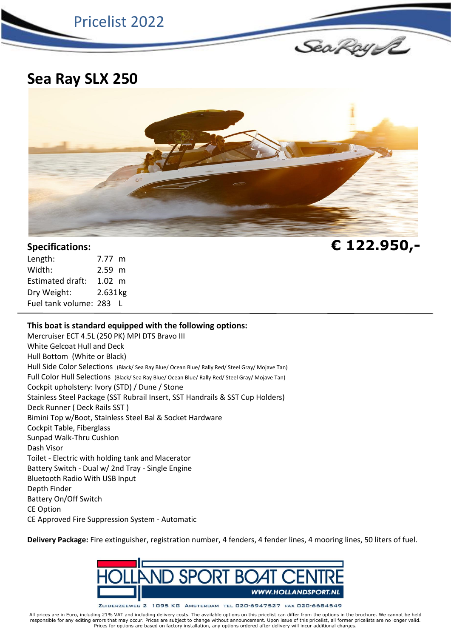

**Sea Ray SLX 250**



| Length:                 | 7.77 m   |  |
|-------------------------|----------|--|
| Width:                  | $2.59$ m |  |
| Estimated draft:        | 1.02~m   |  |
| Dry Weight:             | 2.631kg  |  |
| Fuel tank volume: 283 L |          |  |

## **This boat is standard equipped with the following options:**

Mercruiser ECT 4.5L (250 PK) MPI DTS Bravo III White Gelcoat Hull and Deck Hull Bottom (White or Black) Hull Side Color Selections (Black/ Sea Ray Blue/ Ocean Blue/ Rally Red/ Steel Gray/ Mojave Tan) Full Color Hull Selections (Black/ Sea Ray Blue/ Ocean Blue/ Rally Red/ Steel Gray/ Mojave Tan) Cockpit upholstery: Ivory (STD) / Dune / Stone Stainless Steel Package (SST Rubrail Insert, SST Handrails & SST Cup Holders) Deck Runner ( Deck Rails SST ) Bimini Top w/Boot, Stainless Steel Bal & Socket Hardware Cockpit Table, Fiberglass Sunpad Walk-Thru Cushion Dash Visor Toilet - Electric with holding tank and Macerator Battery Switch - Dual w/ 2nd Tray - Single Engine Bluetooth Radio With USB Input Depth Finder Battery On/Off Switch CE Option CE Approved Fire Suppression System - Automatic

**Delivery Package:** Fire extinguisher, registration number, 4 fenders, 4 fender lines, 4 mooring lines, 50 liters of fuel.



ZUIDERZEEWEG 2 1095 KG AMSTERDAM TEL 020-6947527 FAX 020-6684549

All prices are in Euro, including 21% VAT and including delivery costs. The available options on this pricelist can differ from the options in the brochure. We cannot be held responsible for any editing errors that may occur. Prices are subject to change without announcement. Upon issue of this pricelist, all former pricelists are no longer valid.<br>Prices for options are based on factory install

**Specifications: € 122.950,-**